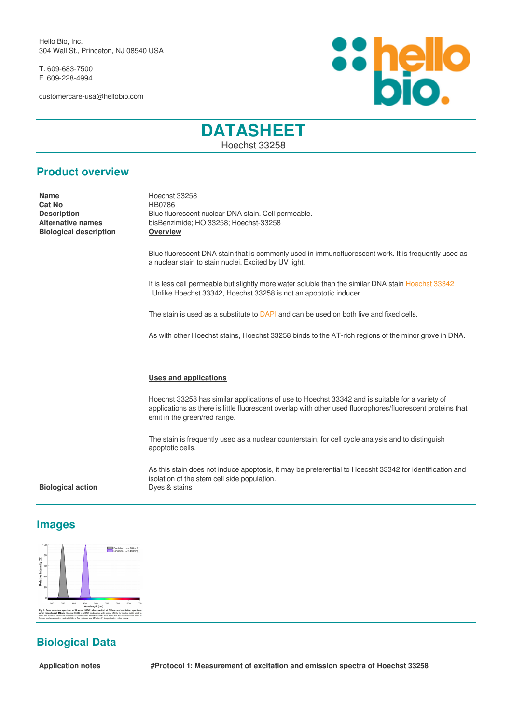Hello Bio, Inc. 304 Wall St., Princeton, NJ 08540 USA

T. 609-683-7500 F. 609-228-4994

customercare-usa@hellobio.com



# **DATASHEET** Hoechst 33258

## **Product overview**

**Name** Hoechst 33258 **Cat No** HB0786 **Biological description Overview**

**Description**<br> **Alternative names**<br> **Alternative names**<br> **Blue fluorescent nuclear DNA stain. Cell permeable.<br>
<b>Alternative names**<br> **Blue fluorescent nuclear DNA stain. Cell permeable. Alternative names** bisBenzimide; HO 33258; Hoechst-33258

> Blue fluorescent DNA stain that is commonly used in immunofluorescent work. It is frequently used as a nuclear stain to stain nuclei. Excited by UV light.

It is less cell permeable but slightly more water soluble than the similar DNA stain [Hoechst 33342](https://www.hellobio.com/hoechst-33342.html) . Unlike Hoechst 33342, Hoechst 33258 is not an apoptotic inducer.

The stain is used as a substitute to [DAPI](https://www.hellobio.com/dapi.html) and can be used on both live and fixed cells.

As with other Hoechst stains, Hoechst 33258 binds to the AT-rich regions of the minor grove in DNA.

### **Uses and applications**

Hoechst 33258 has similar applications of use to Hoechst 33342 and is suitable for a variety of applications as there is little fluorescent overlap with other used fluorophores/fluorescent proteins that emit in the green/red range.

The stain is frequently used as a nuclear counterstain, for cell cycle analysis and to distinguish apoptotic cells.

As this stain does not induce apoptosis, it may be preferential to Hoecsht 33342 for identification and isolation of the stem cell side population.

### **Biological action Dyes & stains**

### **Images**



# **Biological Data**

**Application notes #Protocol 1: Measurement of excitation and emission spectra of Hoechst 33258**